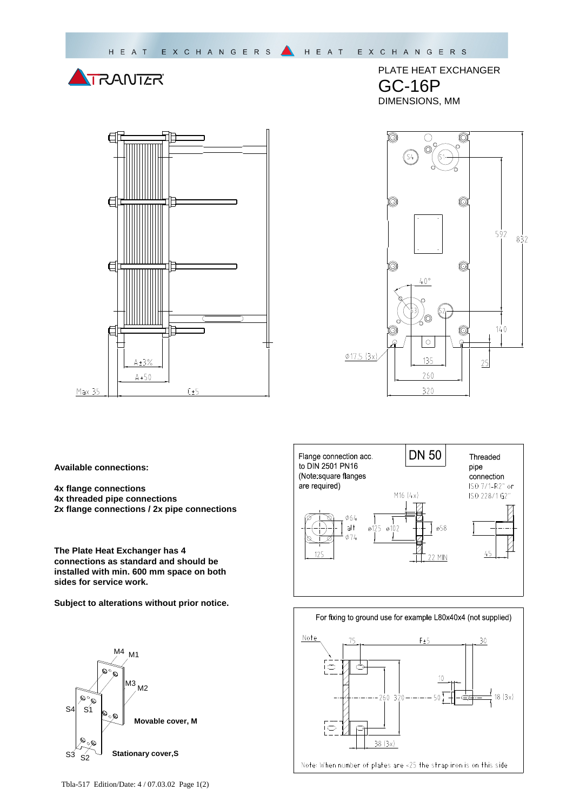



PLATE HEAT EXCHANGER GC-16P DIMENSIONS, MM



**Available connections:** 

- **4x flange connections**
- **4x threaded pipe connections**
- **2x flange connections / 2x pipe connections**

**The Plate Heat Exchanger has 4 connections as standard and should be installed with min. 600 mm space on both sides for service work.** 

**Subject to alterations without prior notice.**